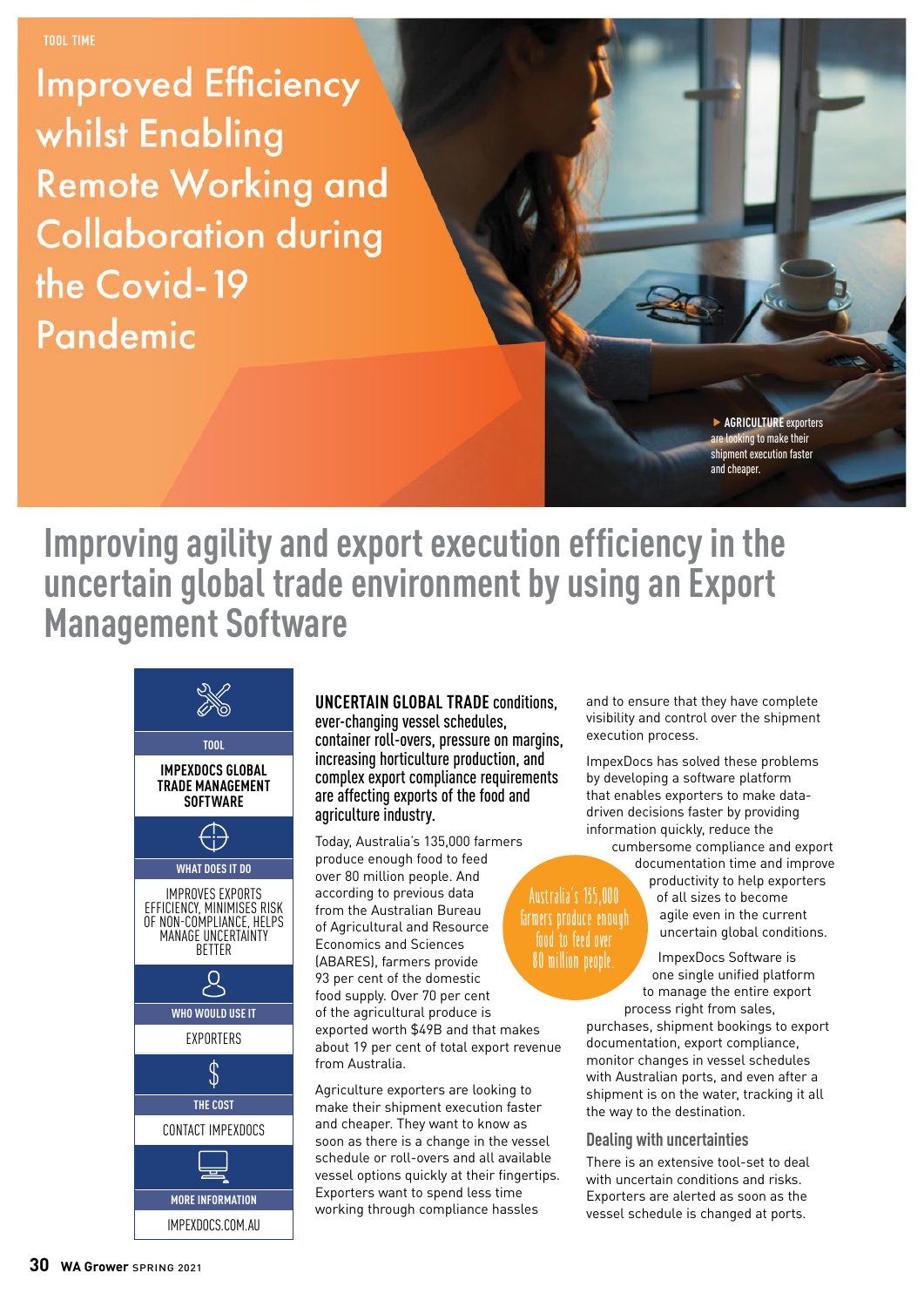**Improved Efficiency** whilst Enabling **Remote Working and Collaboration during** the Covid-19 Pandemic

> f **AGRICULTURE** exporters oking to make their oment execution faster and cheaper.

## **Improving agility and export execution efficiency in the uncertain global trade environment by using an Export Management Software**



**UNCERTAIN GLOBAL TRADE** conditions, ever-changing vessel schedules, container roll-overs, pressure on margins, increasing horticulture production, and complex export compliance requirements are affecting exports of the food and agriculture industry.

Today, Australia's 135,000 farmers produce enough food to feed over 80 million people. And according to previous data from the Australian Bureau of Agricultural and Resource Economics and Sciences (ABARES), farmers provide 93 per cent of the domestic food supply. Over 70 per cent of the agricultural produce is exported worth \$49B and that makes about 19 per cent of total export revenue from Australia.

Agriculture exporters are looking to make their shipment execution faster and cheaper. They want to know as soon as there is a change in the vessel schedule or roll-overs and all available vessel options quickly at their fingertips. Exporters want to spend less time working through compliance hassles

and to ensure that they have complete visibility and control over the shipment execution process.

ImpexDocs has solved these problems by developing a software platform that enables exporters to make datadriven decisions faster by providing information quickly, reduce the

cumbersome compliance and export documentation time and improve

### **Australia's 135,000 farmers produce enough food to feed over 80 million people.**

productivity to help exporters of all sizes to become agile even in the current uncertain global conditions.

ImpexDocs Software is one single unified platform to manage the entire export process right from sales,

purchases, shipment bookings to export documentation, export compliance, monitor changes in vessel schedules with Australian ports, and even after a shipment is on the water, tracking it all the way to the destination.

#### **Dealing with uncertainties**

There is an extensive tool-set to deal with uncertain conditions and risks. Exporters are alerted as soon as the vessel schedule is changed at ports.